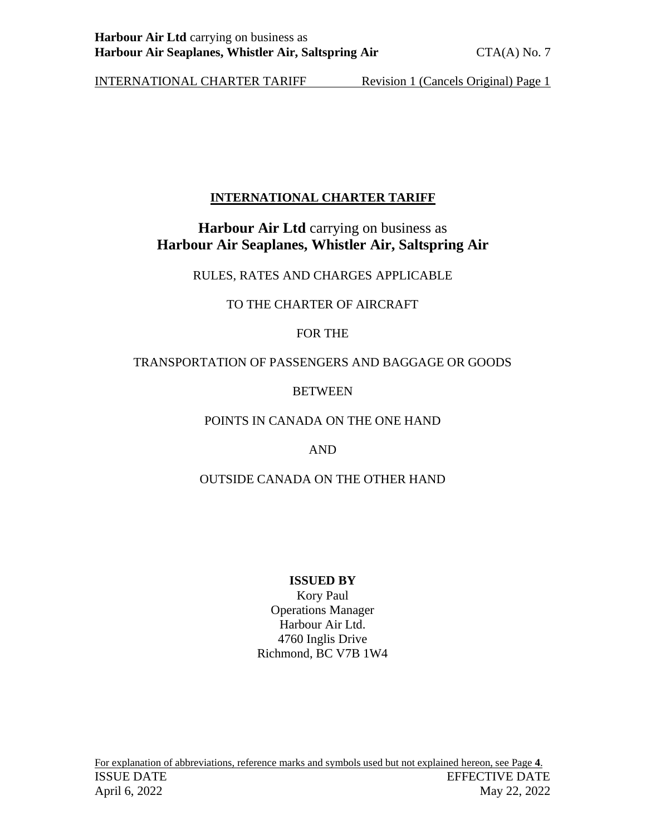#### **INTERNATIONAL CHARTER TARIFF**

#### **Harbour Air Ltd carrying on business as Harbour Air Seaplanes, Whistler Air, Saltspring Air**

RULES, RATES AND CHARGES APPLICABLE

#### TO THE CHARTER OF AIRCRAFT

#### FOR THE

#### TRANSPORTATION OF PASSENGERS AND BAGGAGE OR GOODS

#### **BETWEEN**

#### POINTS IN CANADA ON THE ONE HAND

#### AND

#### OUTSIDE CANADA ON THE OTHER HAND

#### **ISSUED BY**

Kory Paul Operations Manager Harbour Air Ltd. 4760 Inglis Drive Richmond, BC V7B 1W4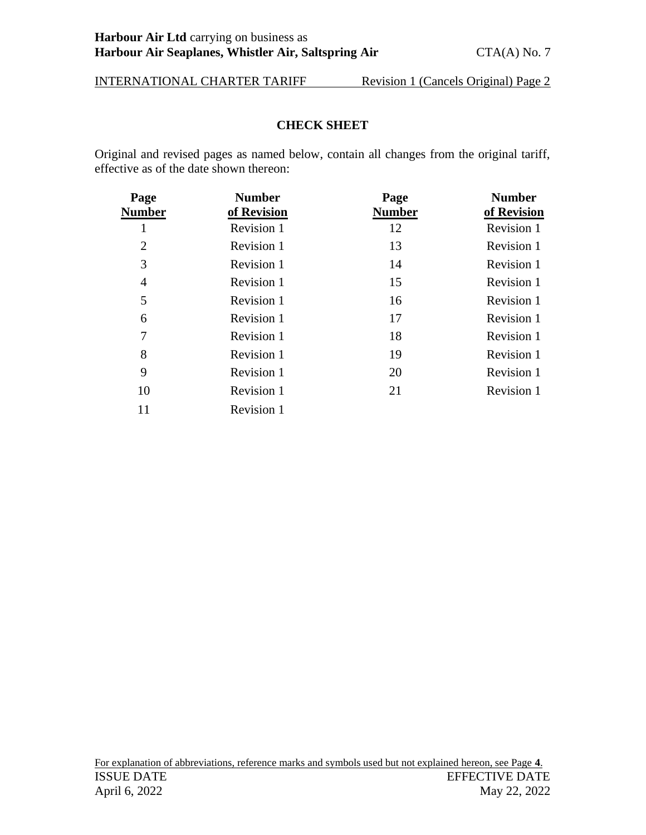#### **CHECK SHEET**

<span id="page-1-0"></span>Original and revised pages as named below, contain all changes from the original tariff, effective as of the date shown thereon:

| Page<br>Number | <b>Number</b><br>of Revision | Page<br><b>Number</b> | <b>Number</b><br>of Revision |
|----------------|------------------------------|-----------------------|------------------------------|
|                | Revision 1                   | 12                    | Revision 1                   |
| $\overline{2}$ | Revision 1                   | 13                    | Revision 1                   |
| 3              | Revision 1                   | 14                    | Revision 1                   |
| 4              | Revision 1                   | 15                    | Revision 1                   |
| 5              | Revision 1                   | 16                    | Revision 1                   |
| 6              | Revision 1                   | 17                    | Revision 1                   |
| 7              | Revision 1                   | 18                    | Revision 1                   |
| 8              | Revision 1                   | 19                    | Revision 1                   |
| 9              | Revision 1                   | 20                    | Revision 1                   |
| 10             | Revision 1                   | 21                    | Revision 1                   |
| 11             | Revision 1                   |                       |                              |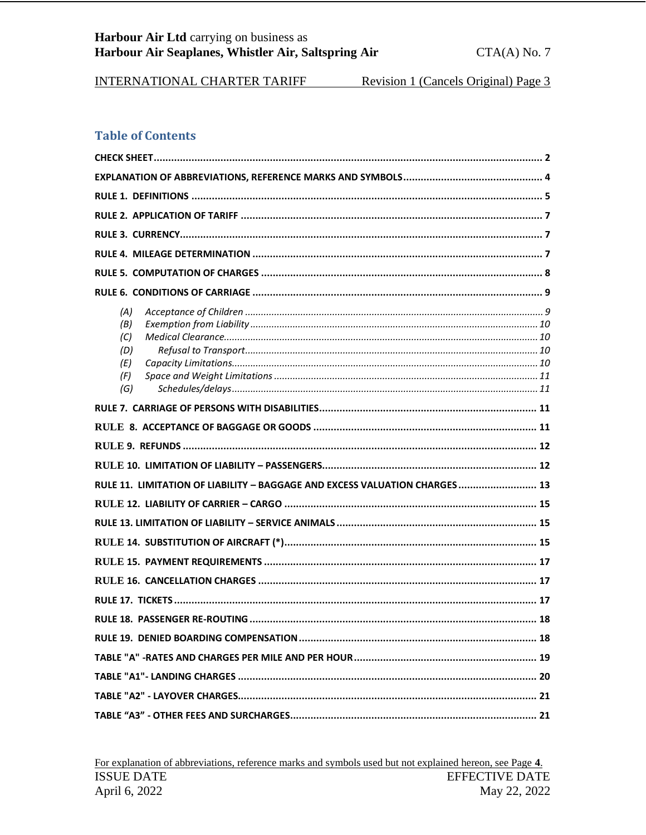#### **Table of Contents**

| (A)<br>(B)<br>(C)<br>(D)<br>(E)<br>(F)<br>(G)                               |  |  |  |  |
|-----------------------------------------------------------------------------|--|--|--|--|
|                                                                             |  |  |  |  |
|                                                                             |  |  |  |  |
|                                                                             |  |  |  |  |
|                                                                             |  |  |  |  |
| RULE 11. LIMITATION OF LIABILITY - BAGGAGE AND EXCESS VALUATION CHARGES  13 |  |  |  |  |
|                                                                             |  |  |  |  |
|                                                                             |  |  |  |  |
|                                                                             |  |  |  |  |
|                                                                             |  |  |  |  |
|                                                                             |  |  |  |  |
|                                                                             |  |  |  |  |
|                                                                             |  |  |  |  |
|                                                                             |  |  |  |  |
|                                                                             |  |  |  |  |
|                                                                             |  |  |  |  |
|                                                                             |  |  |  |  |
|                                                                             |  |  |  |  |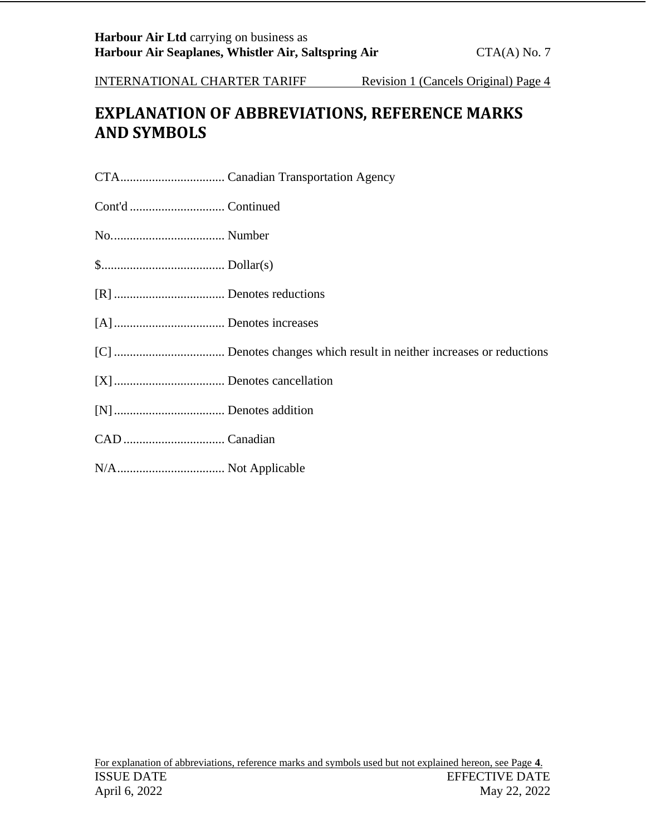# <span id="page-3-0"></span>**EXPLANATION OF ABBREVIATIONS, REFERENCE MARKS AND SYMBOLS**

CTA................................. Canadian Transportation Agency

Cont'd .............................. Continued

No.................................... Number

\$....................................... Dollar(s)

- [R] ................................... Denotes reductions
- [A]................................... Denotes increases
- [C] ................................... Denotes changes which result in neither increases or reductions
- [X]................................... Denotes cancellation
- [N]................................... Denotes addition
- CAD ................................ Canadian
- N/A.................................. Not Applicable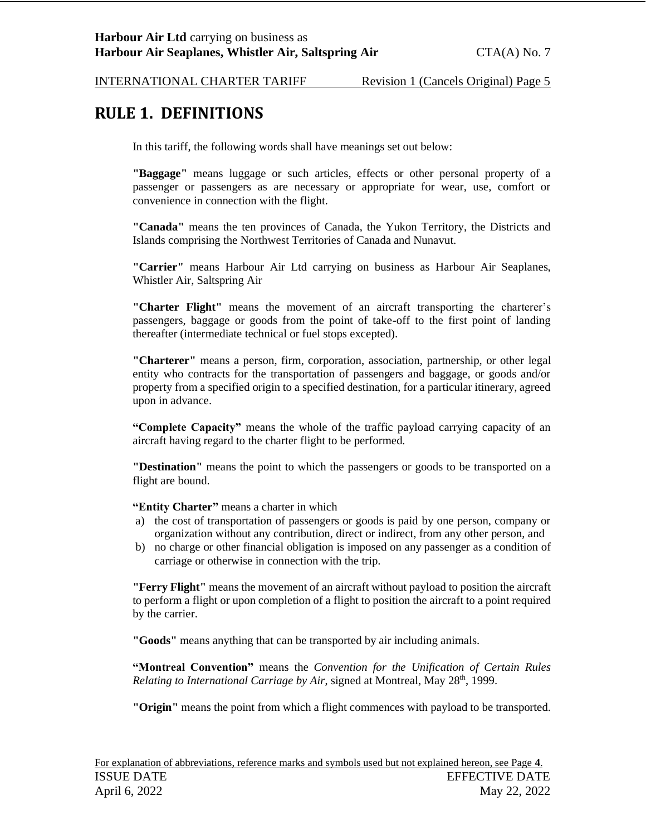### <span id="page-4-0"></span>**RULE 1. DEFINITIONS**

In this tariff, the following words shall have meanings set out below:

**"Baggage"** means luggage or such articles, effects or other personal property of a passenger or passengers as are necessary or appropriate for wear, use, comfort or convenience in connection with the flight.

**"Canada"** means the ten provinces of Canada, the Yukon Territory, the Districts and Islands comprising the Northwest Territories of Canada and Nunavut.

**"Carrier"** means Harbour Air Ltd carrying on business as Harbour Air Seaplanes, Whistler Air, Saltspring Air

**"Charter Flight"** means the movement of an aircraft transporting the charterer's passengers, baggage or goods from the point of take-off to the first point of landing thereafter (intermediate technical or fuel stops excepted).

**"Charterer"** means a person, firm, corporation, association, partnership, or other legal entity who contracts for the transportation of passengers and baggage, or goods and/or property from a specified origin to a specified destination, for a particular itinerary, agreed upon in advance.

**"Complete Capacity"** means the whole of the traffic payload carrying capacity of an aircraft having regard to the charter flight to be performed.

**"Destination"** means the point to which the passengers or goods to be transported on a flight are bound.

**"Entity Charter"** means a charter in which

- a) the cost of transportation of passengers or goods is paid by one person, company or organization without any contribution, direct or indirect, from any other person, and
- b) no charge or other financial obligation is imposed on any passenger as a condition of carriage or otherwise in connection with the trip.

**"Ferry Flight"** means the movement of an aircraft without payload to position the aircraft to perform a flight or upon completion of a flight to position the aircraft to a point required by the carrier.

**"Goods"** means anything that can be transported by air including animals.

**"Montreal Convention"** means the *Convention for the Unification of Certain Rules Relating to International Carriage by Air, signed at Montreal, May 28<sup>th</sup>, 1999.* 

**"Origin"** means the point from which a flight commences with payload to be transported.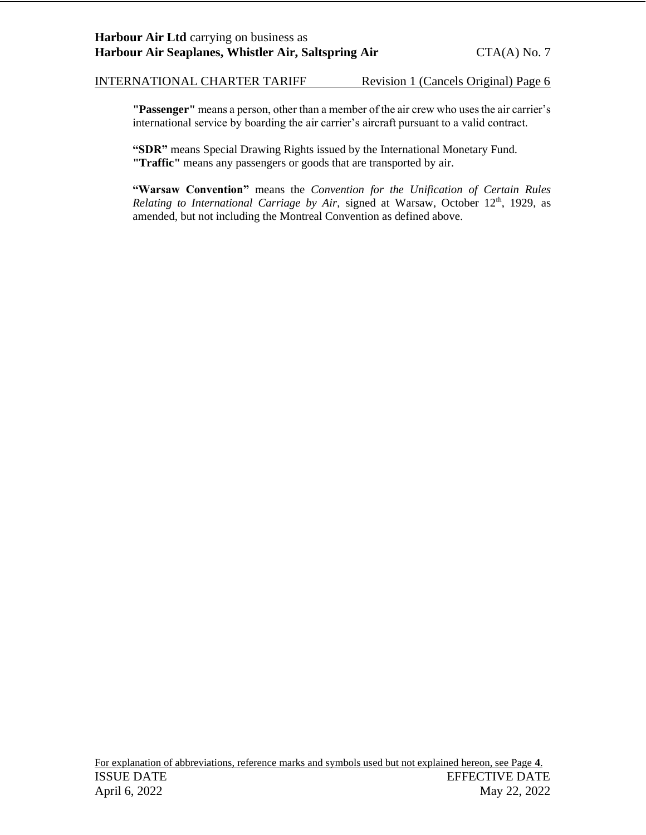**"Passenger"** means a person, other than a member of the air crew who uses the air carrier's international service by boarding the air carrier's aircraft pursuant to a valid contract.

**"SDR"** means Special Drawing Rights issued by the International Monetary Fund. **"Traffic"** means any passengers or goods that are transported by air.

**"Warsaw Convention"** means the *Convention for the Unification of Certain Rules Relating to International Carriage by Air, signed at Warsaw, October 12<sup>th</sup>, 1929, as* amended, but not including the Montreal Convention as defined above.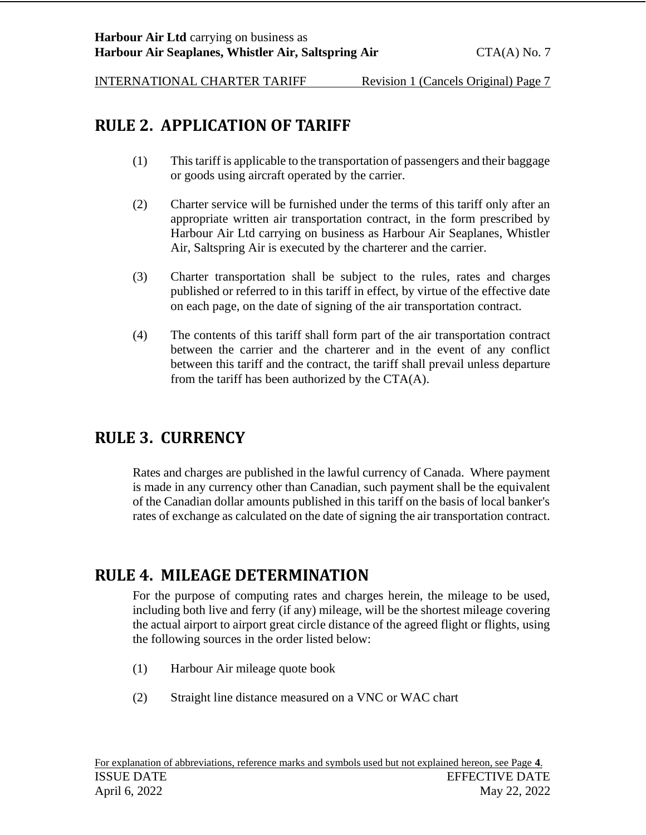## <span id="page-6-0"></span>**RULE 2. APPLICATION OF TARIFF**

- (1) This tariff is applicable to the transportation of passengers and their baggage or goods using aircraft operated by the carrier.
- (2) Charter service will be furnished under the terms of this tariff only after an appropriate written air transportation contract, in the form prescribed by Harbour Air Ltd carrying on business as Harbour Air Seaplanes, Whistler Air, Saltspring Air is executed by the charterer and the carrier.
- (3) Charter transportation shall be subject to the rules, rates and charges published or referred to in this tariff in effect, by virtue of the effective date on each page, on the date of signing of the air transportation contract.
- (4) The contents of this tariff shall form part of the air transportation contract between the carrier and the charterer and in the event of any conflict between this tariff and the contract, the tariff shall prevail unless departure from the tariff has been authorized by the CTA(A).

## <span id="page-6-1"></span>**RULE 3. CURRENCY**

Rates and charges are published in the lawful currency of Canada. Where payment is made in any currency other than Canadian, such payment shall be the equivalent of the Canadian dollar amounts published in this tariff on the basis of local banker's rates of exchange as calculated on the date of signing the air transportation contract.

## <span id="page-6-2"></span>**RULE 4. MILEAGE DETERMINATION**

For the purpose of computing rates and charges herein, the mileage to be used, including both live and ferry (if any) mileage, will be the shortest mileage covering the actual airport to airport great circle distance of the agreed flight or flights, using the following sources in the order listed below:

- (1) Harbour Air mileage quote book
- (2) Straight line distance measured on a VNC or WAC chart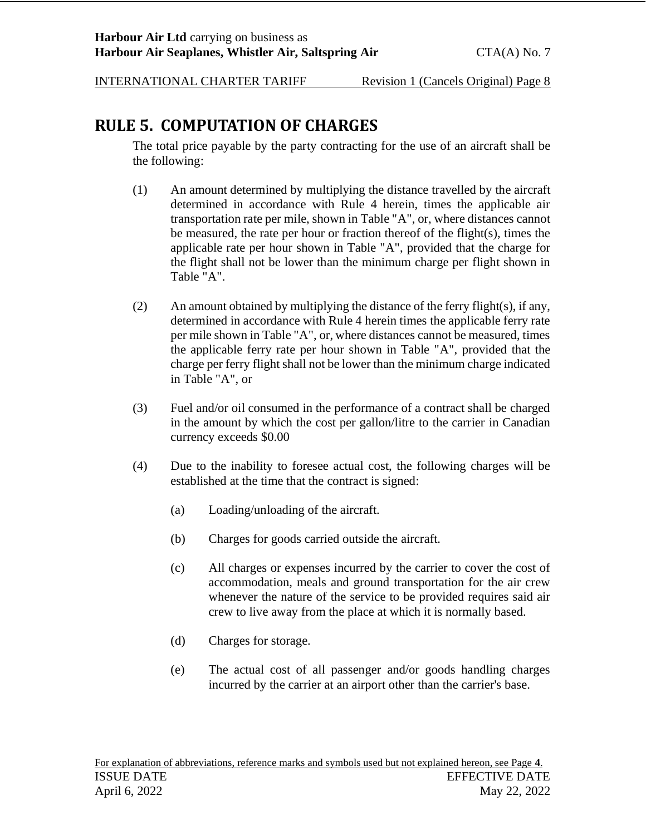## <span id="page-7-0"></span>**RULE 5. COMPUTATION OF CHARGES**

The total price payable by the party contracting for the use of an aircraft shall be the following:

- (1) An amount determined by multiplying the distance travelled by the aircraft determined in accordance with Rule 4 herein, times the applicable air transportation rate per mile, shown in Table "A", or, where distances cannot be measured, the rate per hour or fraction thereof of the flight(s), times the applicable rate per hour shown in Table "A", provided that the charge for the flight shall not be lower than the minimum charge per flight shown in Table "A".
- (2) An amount obtained by multiplying the distance of the ferry flight(s), if any, determined in accordance with Rule 4 herein times the applicable ferry rate per mile shown in Table "A", or, where distances cannot be measured, times the applicable ferry rate per hour shown in Table "A", provided that the charge per ferry flight shall not be lower than the minimum charge indicated in Table "A", or
- (3) Fuel and/or oil consumed in the performance of a contract shall be charged in the amount by which the cost per gallon/litre to the carrier in Canadian currency exceeds \$0.00
- (4) Due to the inability to foresee actual cost, the following charges will be established at the time that the contract is signed:
	- (a) Loading/unloading of the aircraft.
	- (b) Charges for goods carried outside the aircraft.
	- (c) All charges or expenses incurred by the carrier to cover the cost of accommodation, meals and ground transportation for the air crew whenever the nature of the service to be provided requires said air crew to live away from the place at which it is normally based.
	- (d) Charges for storage.
	- (e) The actual cost of all passenger and/or goods handling charges incurred by the carrier at an airport other than the carrier's base.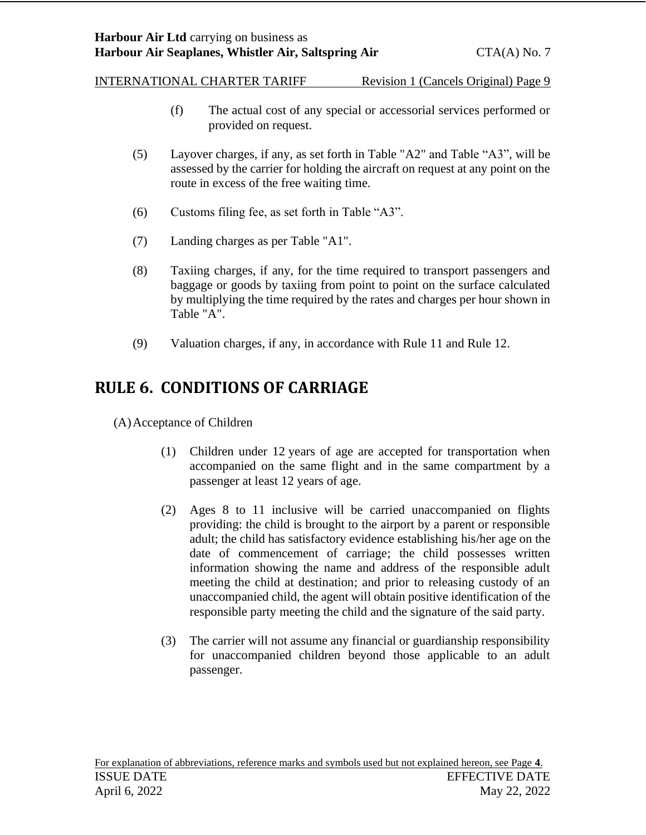- (f) The actual cost of any special or accessorial services performed or provided on request.
- (5) Layover charges, if any, as set forth in Table "A2" and Table "A3", will be assessed by the carrier for holding the aircraft on request at any point on the route in excess of the free waiting time.
- (6) Customs filing fee, as set forth in Table "A3".
- (7) Landing charges as per Table "A1".
- (8) Taxiing charges, if any, for the time required to transport passengers and baggage or goods by taxiing from point to point on the surface calculated by multiplying the time required by the rates and charges per hour shown in Table "A".
- (9) Valuation charges, if any, in accordance with Rule 11 and Rule 12.

## <span id="page-8-0"></span>**RULE 6. CONDITIONS OF CARRIAGE**

<span id="page-8-1"></span>(A)Acceptance of Children

- (1) Children under 12 years of age are accepted for transportation when accompanied on the same flight and in the same compartment by a passenger at least 12 years of age.
- (2) Ages 8 to 11 inclusive will be carried unaccompanied on flights providing: the child is brought to the airport by a parent or responsible adult; the child has satisfactory evidence establishing his/her age on the date of commencement of carriage; the child possesses written information showing the name and address of the responsible adult meeting the child at destination; and prior to releasing custody of an unaccompanied child, the agent will obtain positive identification of the responsible party meeting the child and the signature of the said party.
- (3) The carrier will not assume any financial or guardianship responsibility for unaccompanied children beyond those applicable to an adult passenger.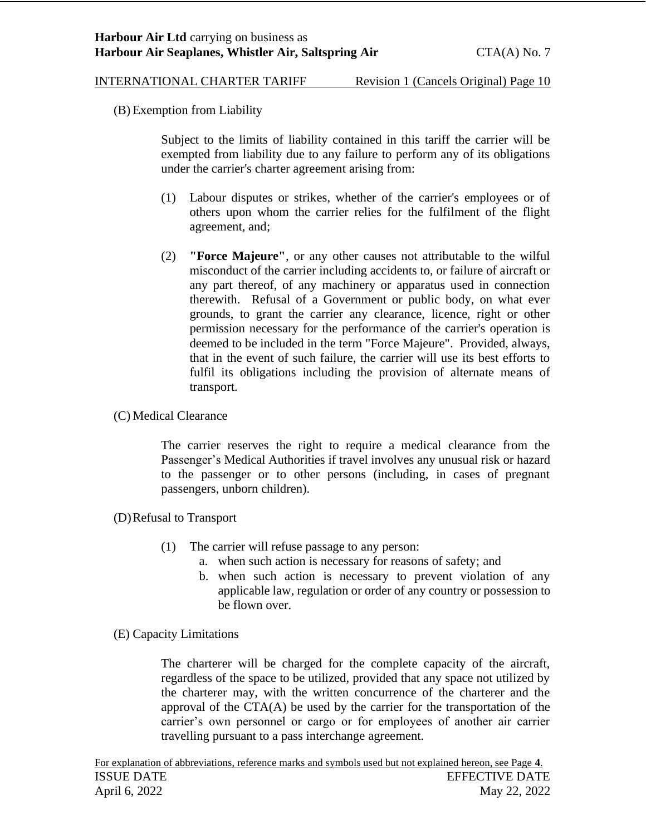<span id="page-9-0"></span>(B) Exemption from Liability

Subject to the limits of liability contained in this tariff the carrier will be exempted from liability due to any failure to perform any of its obligations under the carrier's charter agreement arising from:

- (1) Labour disputes or strikes, whether of the carrier's employees or of others upon whom the carrier relies for the fulfilment of the flight agreement, and;
- (2) **"Force Majeure"**, or any other causes not attributable to the wilful misconduct of the carrier including accidents to, or failure of aircraft or any part thereof, of any machinery or apparatus used in connection therewith. Refusal of a Government or public body, on what ever grounds, to grant the carrier any clearance, licence, right or other permission necessary for the performance of the carrier's operation is deemed to be included in the term "Force Majeure". Provided, always, that in the event of such failure, the carrier will use its best efforts to fulfil its obligations including the provision of alternate means of transport.
- <span id="page-9-1"></span>(C) Medical Clearance

The carrier reserves the right to require a medical clearance from the Passenger's Medical Authorities if travel involves any unusual risk or hazard to the passenger or to other persons (including, in cases of pregnant passengers, unborn children).

- <span id="page-9-2"></span>(D)Refusal to Transport
	- (1) The carrier will refuse passage to any person:
		- a. when such action is necessary for reasons of safety; and
		- b. when such action is necessary to prevent violation of any applicable law, regulation or order of any country or possession to be flown over.
- <span id="page-9-3"></span>(E) Capacity Limitations

The charterer will be charged for the complete capacity of the aircraft, regardless of the space to be utilized, provided that any space not utilized by the charterer may, with the written concurrence of the charterer and the approval of the  $CTA(A)$  be used by the carrier for the transportation of the carrier's own personnel or cargo or for employees of another air carrier travelling pursuant to a pass interchange agreement.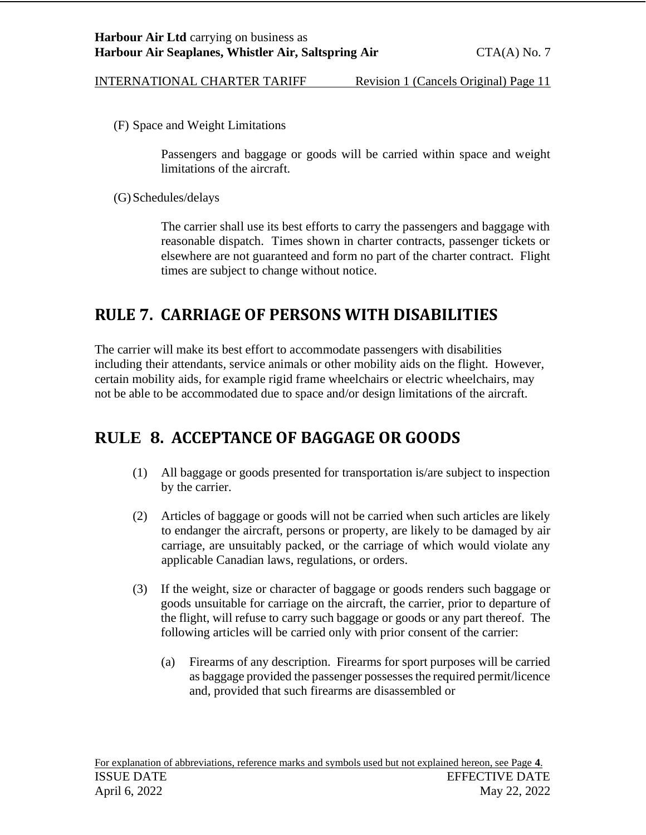<span id="page-10-0"></span>(F) Space and Weight Limitations

Passengers and baggage or goods will be carried within space and weight limitations of the aircraft.

<span id="page-10-1"></span>(G)Schedules/delays

The carrier shall use its best efforts to carry the passengers and baggage with reasonable dispatch. Times shown in charter contracts, passenger tickets or elsewhere are not guaranteed and form no part of the charter contract. Flight times are subject to change without notice.

## <span id="page-10-2"></span>**RULE 7. CARRIAGE OF PERSONS WITH DISABILITIES**

The carrier will make its best effort to accommodate passengers with disabilities including their attendants, service animals or other mobility aids on the flight. However, certain mobility aids, for example rigid frame wheelchairs or electric wheelchairs, may not be able to be accommodated due to space and/or design limitations of the aircraft.

## <span id="page-10-3"></span>**RULE 8. ACCEPTANCE OF BAGGAGE OR GOODS**

- (1) All baggage or goods presented for transportation is/are subject to inspection by the carrier.
- (2) Articles of baggage or goods will not be carried when such articles are likely to endanger the aircraft, persons or property, are likely to be damaged by air carriage, are unsuitably packed, or the carriage of which would violate any applicable Canadian laws, regulations, or orders.
- (3) If the weight, size or character of baggage or goods renders such baggage or goods unsuitable for carriage on the aircraft, the carrier, prior to departure of the flight, will refuse to carry such baggage or goods or any part thereof. The following articles will be carried only with prior consent of the carrier:
	- (a) Firearms of any description. Firearms for sport purposes will be carried as baggage provided the passenger possesses the required permit/licence and, provided that such firearms are disassembled or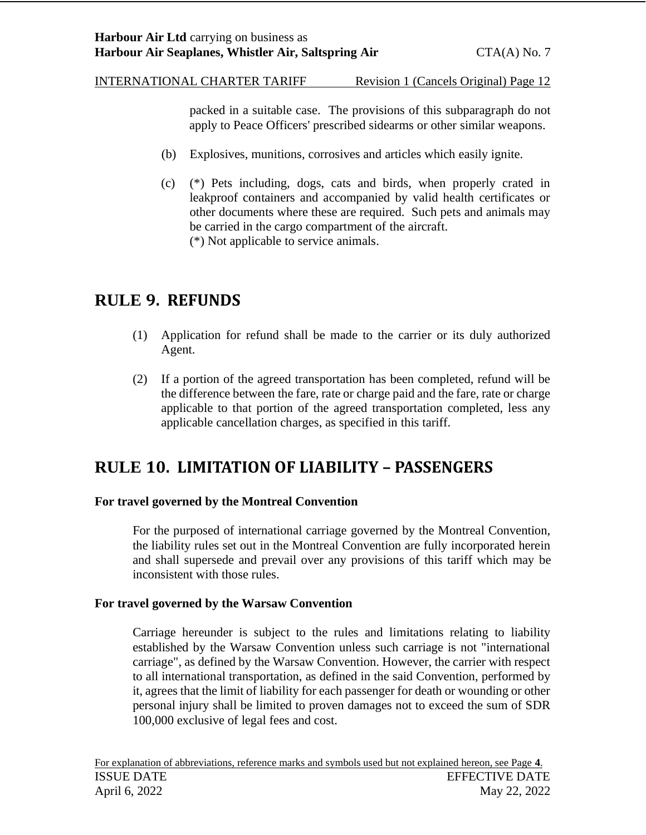packed in a suitable case. The provisions of this subparagraph do not apply to Peace Officers' prescribed sidearms or other similar weapons.

- (b) Explosives, munitions, corrosives and articles which easily ignite.
- (c) (\*) Pets including, dogs, cats and birds, when properly crated in leakproof containers and accompanied by valid health certificates or other documents where these are required. Such pets and animals may be carried in the cargo compartment of the aircraft. (\*) Not applicable to service animals.

## <span id="page-11-0"></span>**RULE 9. REFUNDS**

- (1) Application for refund shall be made to the carrier or its duly authorized Agent.
- (2) If a portion of the agreed transportation has been completed, refund will be the difference between the fare, rate or charge paid and the fare, rate or charge applicable to that portion of the agreed transportation completed, less any applicable cancellation charges, as specified in this tariff.

## <span id="page-11-1"></span>**RULE 10. LIMITATION OF LIABILITY – PASSENGERS**

#### **For travel governed by the Montreal Convention**

For the purposed of international carriage governed by the Montreal Convention, the liability rules set out in the Montreal Convention are fully incorporated herein and shall supersede and prevail over any provisions of this tariff which may be inconsistent with those rules.

#### **For travel governed by the Warsaw Convention**

Carriage hereunder is subject to the rules and limitations relating to liability established by the Warsaw Convention unless such carriage is not "international carriage", as defined by the Warsaw Convention. However, the carrier with respect to all international transportation, as defined in the said Convention, performed by it, agrees that the limit of liability for each passenger for death or wounding or other personal injury shall be limited to proven damages not to exceed the sum of SDR 100,000 exclusive of legal fees and cost.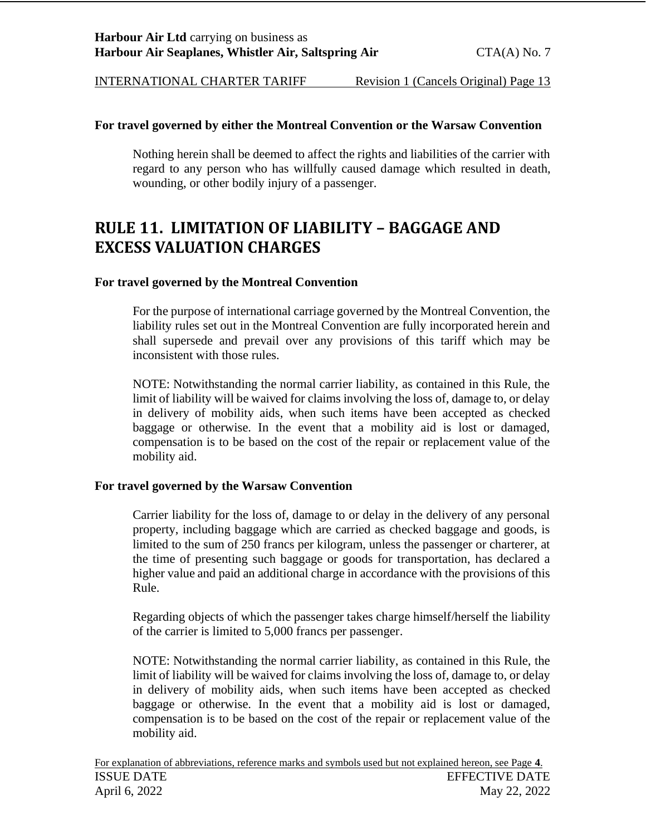#### **For travel governed by either the Montreal Convention or the Warsaw Convention**

Nothing herein shall be deemed to affect the rights and liabilities of the carrier with regard to any person who has willfully caused damage which resulted in death, wounding, or other bodily injury of a passenger.

## <span id="page-12-0"></span>**RULE 11. LIMITATION OF LIABILITY – BAGGAGE AND EXCESS VALUATION CHARGES**

#### **For travel governed by the Montreal Convention**

For the purpose of international carriage governed by the Montreal Convention, the liability rules set out in the Montreal Convention are fully incorporated herein and shall supersede and prevail over any provisions of this tariff which may be inconsistent with those rules.

NOTE: Notwithstanding the normal carrier liability, as contained in this Rule, the limit of liability will be waived for claims involving the loss of, damage to, or delay in delivery of mobility aids, when such items have been accepted as checked baggage or otherwise. In the event that a mobility aid is lost or damaged, compensation is to be based on the cost of the repair or replacement value of the mobility aid.

#### **For travel governed by the Warsaw Convention**

Carrier liability for the loss of, damage to or delay in the delivery of any personal property, including baggage which are carried as checked baggage and goods, is limited to the sum of 250 francs per kilogram, unless the passenger or charterer, at the time of presenting such baggage or goods for transportation, has declared a higher value and paid an additional charge in accordance with the provisions of this Rule.

Regarding objects of which the passenger takes charge himself/herself the liability of the carrier is limited to 5,000 francs per passenger.

NOTE: Notwithstanding the normal carrier liability, as contained in this Rule, the limit of liability will be waived for claims involving the loss of, damage to, or delay in delivery of mobility aids, when such items have been accepted as checked baggage or otherwise. In the event that a mobility aid is lost or damaged, compensation is to be based on the cost of the repair or replacement value of the mobility aid.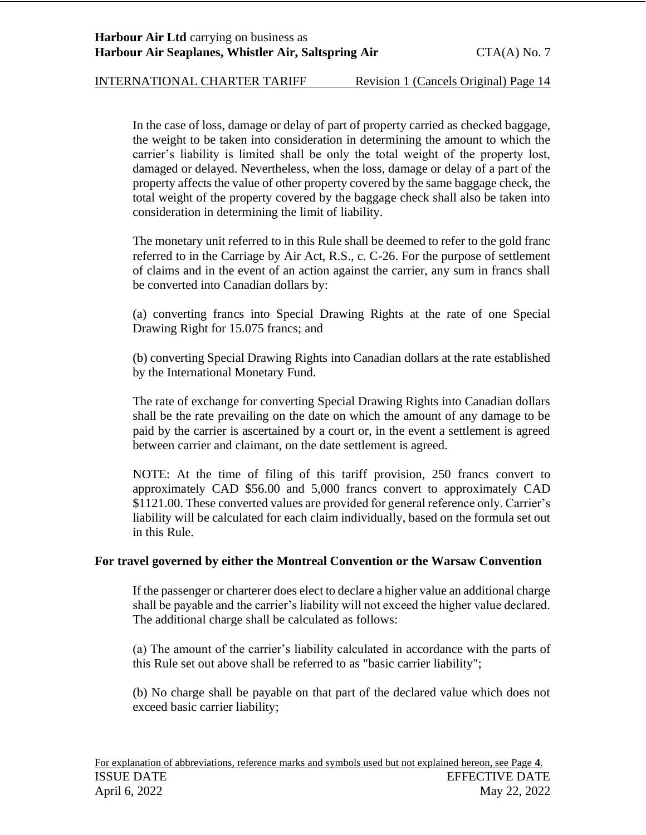In the case of loss, damage or delay of part of property carried as checked baggage, the weight to be taken into consideration in determining the amount to which the carrier's liability is limited shall be only the total weight of the property lost, damaged or delayed. Nevertheless, when the loss, damage or delay of a part of the property affects the value of other property covered by the same baggage check, the total weight of the property covered by the baggage check shall also be taken into consideration in determining the limit of liability.

The monetary unit referred to in this Rule shall be deemed to refer to the gold franc referred to in the Carriage by Air Act, R.S., c. C-26. For the purpose of settlement of claims and in the event of an action against the carrier, any sum in francs shall be converted into Canadian dollars by:

(a) converting francs into Special Drawing Rights at the rate of one Special Drawing Right for 15.075 francs; and

(b) converting Special Drawing Rights into Canadian dollars at the rate established by the International Monetary Fund.

The rate of exchange for converting Special Drawing Rights into Canadian dollars shall be the rate prevailing on the date on which the amount of any damage to be paid by the carrier is ascertained by a court or, in the event a settlement is agreed between carrier and claimant, on the date settlement is agreed.

NOTE: At the time of filing of this tariff provision, 250 francs convert to approximately CAD \$56.00 and 5,000 francs convert to approximately CAD \$1121.00. These converted values are provided for general reference only. Carrier's liability will be calculated for each claim individually, based on the formula set out in this Rule.

#### **For travel governed by either the Montreal Convention or the Warsaw Convention**

If the passenger or charterer does elect to declare a higher value an additional charge shall be payable and the carrier's liability will not exceed the higher value declared. The additional charge shall be calculated as follows:

(a) The amount of the carrier's liability calculated in accordance with the parts of this Rule set out above shall be referred to as "basic carrier liability";

(b) No charge shall be payable on that part of the declared value which does not exceed basic carrier liability;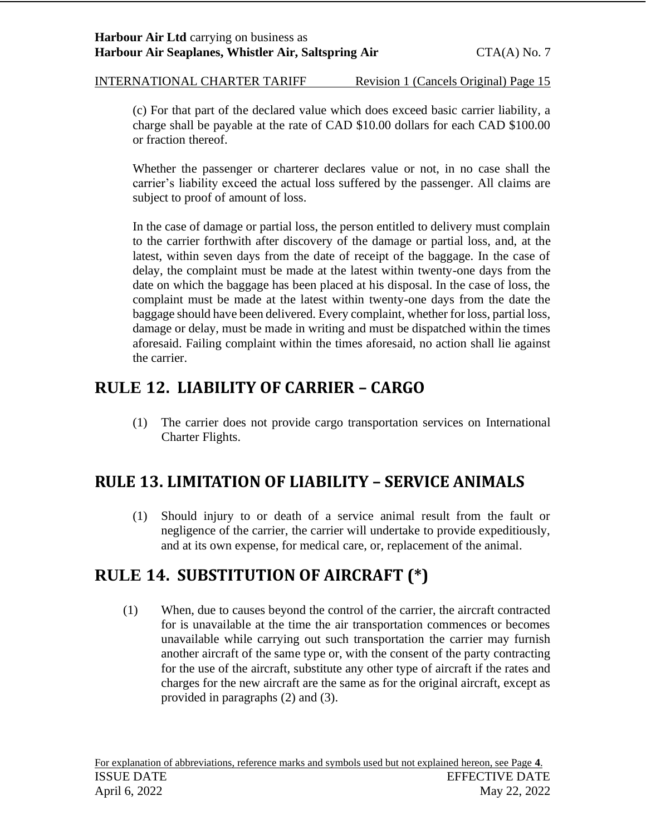(c) For that part of the declared value which does exceed basic carrier liability, a charge shall be payable at the rate of CAD \$10.00 dollars for each CAD \$100.00 or fraction thereof.

Whether the passenger or charterer declares value or not, in no case shall the carrier's liability exceed the actual loss suffered by the passenger. All claims are subject to proof of amount of loss.

In the case of damage or partial loss, the person entitled to delivery must complain to the carrier forthwith after discovery of the damage or partial loss, and, at the latest, within seven days from the date of receipt of the baggage. In the case of delay, the complaint must be made at the latest within twenty-one days from the date on which the baggage has been placed at his disposal. In the case of loss, the complaint must be made at the latest within twenty-one days from the date the baggage should have been delivered. Every complaint, whether for loss, partial loss, damage or delay, must be made in writing and must be dispatched within the times aforesaid. Failing complaint within the times aforesaid, no action shall lie against the carrier.

# <span id="page-14-0"></span>**RULE 12. LIABILITY OF CARRIER – CARGO**

(1) The carrier does not provide cargo transportation services on International Charter Flights.

# <span id="page-14-1"></span>**RULE 13. LIMITATION OF LIABILITY – SERVICE ANIMALS**

(1) Should injury to or death of a service animal result from the fault or negligence of the carrier, the carrier will undertake to provide expeditiously, and at its own expense, for medical care, or, replacement of the animal.

# <span id="page-14-2"></span>**RULE 14. SUBSTITUTION OF AIRCRAFT (\*)**

(1) When, due to causes beyond the control of the carrier, the aircraft contracted for is unavailable at the time the air transportation commences or becomes unavailable while carrying out such transportation the carrier may furnish another aircraft of the same type or, with the consent of the party contracting for the use of the aircraft, substitute any other type of aircraft if the rates and charges for the new aircraft are the same as for the original aircraft, except as provided in paragraphs (2) and (3).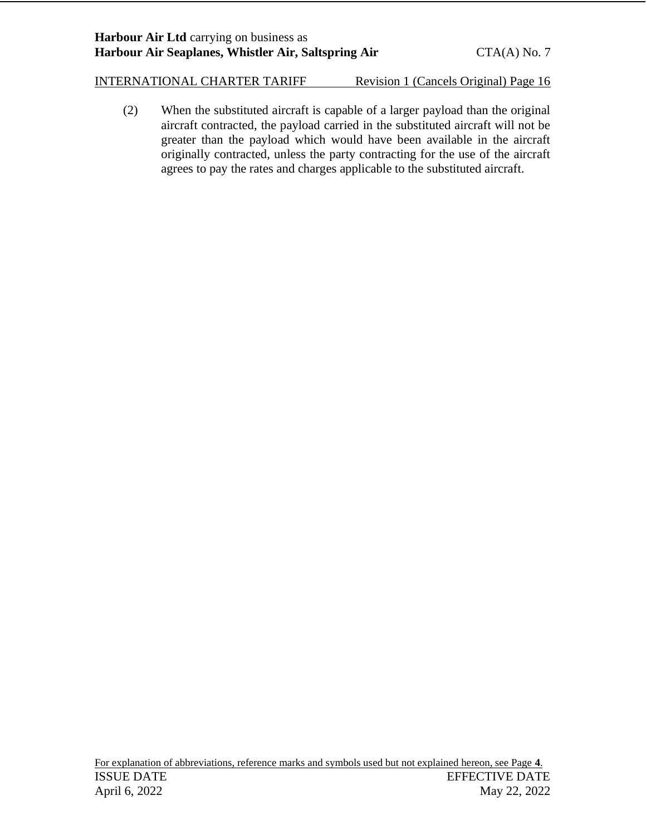(2) When the substituted aircraft is capable of a larger payload than the original aircraft contracted, the payload carried in the substituted aircraft will not be greater than the payload which would have been available in the aircraft originally contracted, unless the party contracting for the use of the aircraft agrees to pay the rates and charges applicable to the substituted aircraft.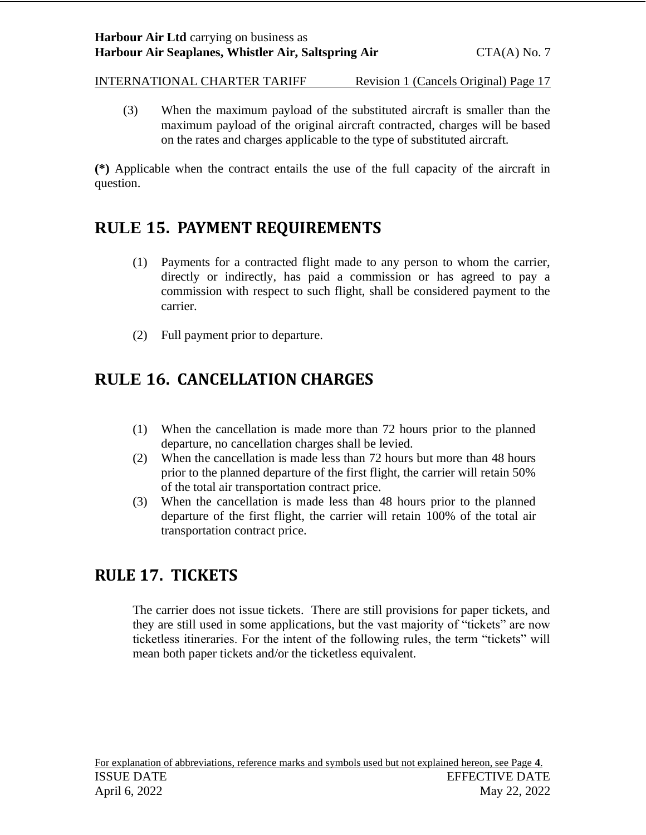(3) When the maximum payload of the substituted aircraft is smaller than the maximum payload of the original aircraft contracted, charges will be based on the rates and charges applicable to the type of substituted aircraft.

**(\*)** Applicable when the contract entails the use of the full capacity of the aircraft in question.

# <span id="page-16-0"></span>**RULE 15. PAYMENT REQUIREMENTS**

- (1) Payments for a contracted flight made to any person to whom the carrier, directly or indirectly, has paid a commission or has agreed to pay a commission with respect to such flight, shall be considered payment to the carrier.
- (2) Full payment prior to departure.

# <span id="page-16-1"></span>**RULE 16. CANCELLATION CHARGES**

- (1) When the cancellation is made more than 72 hours prior to the planned departure, no cancellation charges shall be levied.
- (2) When the cancellation is made less than 72 hours but more than 48 hours prior to the planned departure of the first flight, the carrier will retain 50% of the total air transportation contract price.
- (3) When the cancellation is made less than 48 hours prior to the planned departure of the first flight, the carrier will retain 100% of the total air transportation contract price.

# <span id="page-16-2"></span>**RULE 17. TICKETS**

The carrier does not issue tickets. There are still provisions for paper tickets, and they are still used in some applications, but the vast majority of "tickets" are now ticketless itineraries. For the intent of the following rules, the term "tickets" will mean both paper tickets and/or the ticketless equivalent.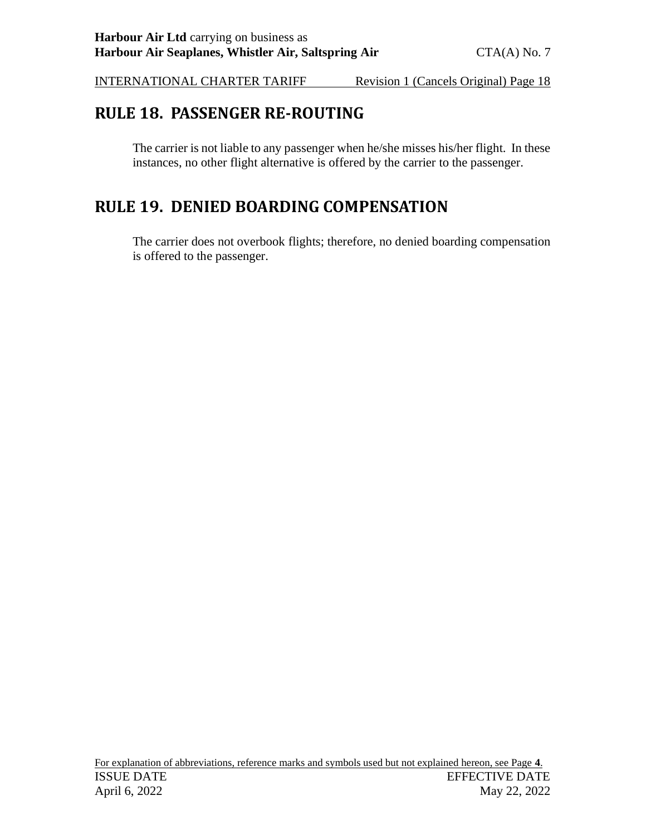## <span id="page-17-0"></span>**RULE 18. PASSENGER RE-ROUTING**

The carrier is not liable to any passenger when he/she misses his/her flight. In these instances, no other flight alternative is offered by the carrier to the passenger.

## <span id="page-17-1"></span>**RULE 19. DENIED BOARDING COMPENSATION**

The carrier does not overbook flights; therefore, no denied boarding compensation is offered to the passenger.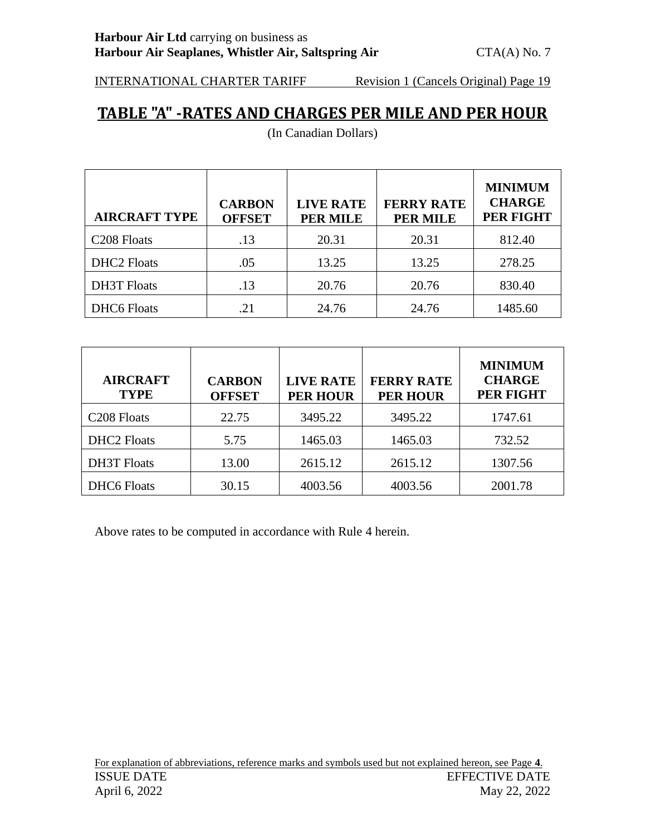## <span id="page-18-0"></span>**TABLE "A" -RATES AND CHARGES PER MILE AND PER HOUR**

| <b>AIRCRAFT TYPE</b>    | <b>CARBON</b><br><b>OFFSET</b> | <b>LIVE RATE</b><br><b>PER MILE</b> | <b>FERRY RATE</b><br><b>PER MILE</b> | <b>MINIMUM</b><br><b>CHARGE</b><br><b>PER FIGHT</b> |
|-------------------------|--------------------------------|-------------------------------------|--------------------------------------|-----------------------------------------------------|
| C <sub>208</sub> Floats | .13                            | 20.31                               | 20.31                                | 812.40                                              |
| <b>DHC2</b> Floats      | .05                            | 13.25                               | 13.25                                | 278.25                                              |
| <b>DH3T</b> Floats      | .13                            | 20.76                               | 20.76                                | 830.40                                              |
| <b>DHC6</b> Floats      | 21                             | 24.76                               | 24.76                                | 1485.60                                             |

(In Canadian Dollars)

| <b>AIRCRAFT</b><br><b>TYPE</b> | <b>CARBON</b><br><b>OFFSET</b> | <b>LIVE RATE</b><br><b>PER HOUR</b> | <b>FERRY RATE</b><br><b>PER HOUR</b> | <b>MINIMUM</b><br><b>CHARGE</b><br>PER FIGHT |
|--------------------------------|--------------------------------|-------------------------------------|--------------------------------------|----------------------------------------------|
| C <sub>208</sub> Floats        | 22.75                          | 3495.22                             | 3495.22                              | 1747.61                                      |
| <b>DHC2</b> Floats             | 5.75                           | 1465.03                             | 1465.03                              | 732.52                                       |
| <b>DH3T</b> Floats             | 13.00                          | 2615.12                             | 2615.12                              | 1307.56                                      |
| <b>DHC6</b> Floats             | 30.15                          | 4003.56                             | 4003.56                              | 2001.78                                      |

Above rates to be computed in accordance with Rule 4 herein.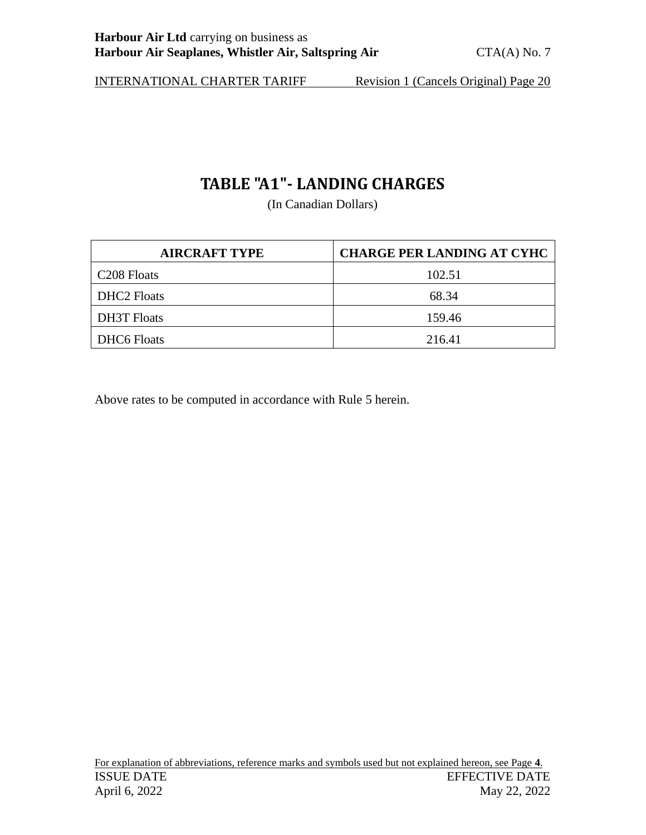# **TABLE "A1"- LANDING CHARGES**

(In Canadian Dollars)

<span id="page-19-0"></span>

| <b>AIRCRAFT TYPE</b>    | <b>CHARGE PER LANDING AT CYHC</b> |
|-------------------------|-----------------------------------|
| C <sub>208</sub> Floats | 102.51                            |
| <b>DHC2</b> Floats      | 68.34                             |
| <b>DH3T</b> Floats      | 159.46                            |
| <b>DHC6 Floats</b>      | 216.41                            |

Above rates to be computed in accordance with Rule 5 herein.